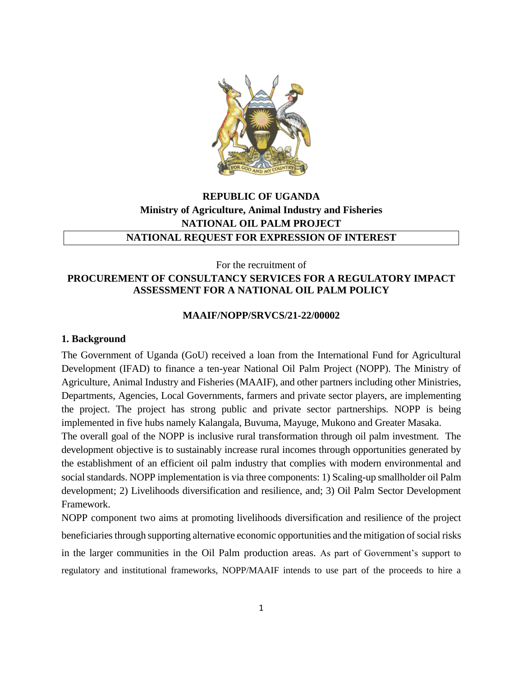

# **REPUBLIC OF UGANDA Ministry of Agriculture, Animal Industry and Fisheries NATIONAL OIL PALM PROJECT NATIONAL REQUEST FOR EXPRESSION OF INTEREST**

### For the recruitment of **PROCUREMENT OF CONSULTANCY SERVICES FOR A REGULATORY IMPACT ASSESSMENT FOR A NATIONAL OIL PALM POLICY**

### **MAAIF/NOPP/SRVCS/21-22/00002**

### **1. Background**

The Government of Uganda (GoU) received a loan from the International Fund for Agricultural Development (IFAD) to finance a ten-year National Oil Palm Project (NOPP). The Ministry of Agriculture, Animal Industry and Fisheries (MAAIF), and other partners including other Ministries, Departments, Agencies, Local Governments, farmers and private sector players, are implementing the project. The project has strong public and private sector partnerships. NOPP is being implemented in five hubs namely Kalangala, Buvuma, Mayuge, Mukono and Greater Masaka.

The overall goal of the NOPP is inclusive rural transformation through oil palm investment. The development objective is to sustainably increase rural incomes through opportunities generated by the establishment of an efficient oil palm industry that complies with modern environmental and social standards. NOPP implementation is via three components: 1) Scaling-up smallholder oil Palm development; 2) Livelihoods diversification and resilience, and; 3) Oil Palm Sector Development Framework.

NOPP component two aims at promoting livelihoods diversification and resilience of the project beneficiaries through supporting alternative economic opportunities and the mitigation of social risks in the larger communities in the Oil Palm production areas. As part of Government's support to regulatory and institutional frameworks, NOPP/MAAIF intends to use part of the proceeds to hire a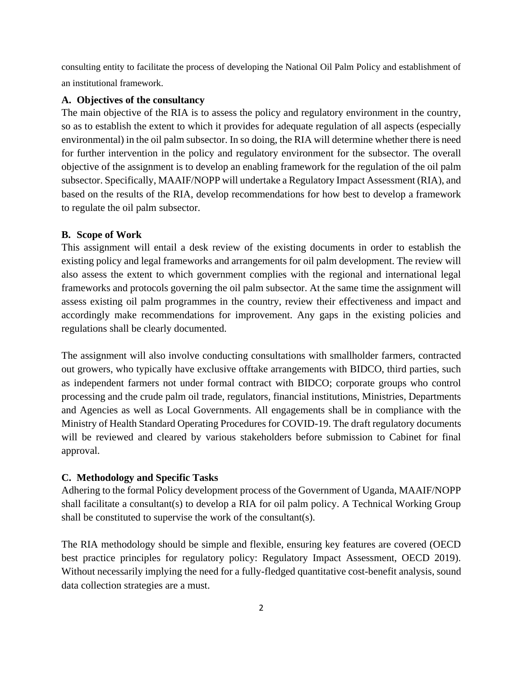consulting entity to facilitate the process of developing the National Oil Palm Policy and establishment of an institutional framework.

#### **A. Objectives of the consultancy**

The main objective of the RIA is to assess the policy and regulatory environment in the country, so as to establish the extent to which it provides for adequate regulation of all aspects (especially environmental) in the oil palm subsector. In so doing, the RIA will determine whether there is need for further intervention in the policy and regulatory environment for the subsector. The overall objective of the assignment is to develop an enabling framework for the regulation of the oil palm subsector. Specifically, MAAIF/NOPP will undertake a Regulatory Impact Assessment (RIA), and based on the results of the RIA, develop recommendations for how best to develop a framework to regulate the oil palm subsector.

#### **B. Scope of Work**

This assignment will entail a desk review of the existing documents in order to establish the existing policy and legal frameworks and arrangements for oil palm development. The review will also assess the extent to which government complies with the regional and international legal frameworks and protocols governing the oil palm subsector. At the same time the assignment will assess existing oil palm programmes in the country, review their effectiveness and impact and accordingly make recommendations for improvement. Any gaps in the existing policies and regulations shall be clearly documented.

The assignment will also involve conducting consultations with smallholder farmers, contracted out growers, who typically have exclusive offtake arrangements with BIDCO, third parties, such as independent farmers not under formal contract with BIDCO; corporate groups who control processing and the crude palm oil trade, regulators, financial institutions, Ministries, Departments and Agencies as well as Local Governments. All engagements shall be in compliance with the Ministry of Health Standard Operating Procedures for COVID-19. The draft regulatory documents will be reviewed and cleared by various stakeholders before submission to Cabinet for final approval.

#### **C. Methodology and Specific Tasks**

Adhering to the formal Policy development process of the Government of Uganda, MAAIF/NOPP shall facilitate a consultant(s) to develop a RIA for oil palm policy. A Technical Working Group shall be constituted to supervise the work of the consultant(s).

The RIA methodology should be simple and flexible, ensuring key features are covered (OECD best practice principles for regulatory policy: Regulatory Impact Assessment, OECD 2019). Without necessarily implying the need for a fully-fledged quantitative cost-benefit analysis, sound data collection strategies are a must.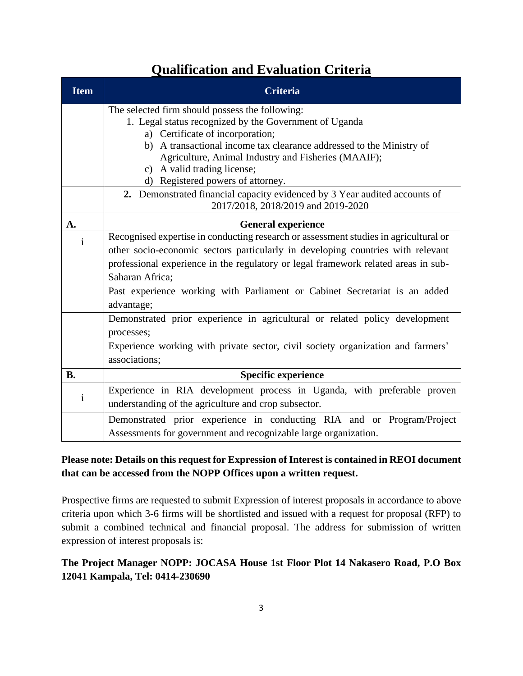# **Qualification and Evaluation Criteria**

| <b>Item</b>  | <b>Criteria</b>                                                                                                  |  |  |
|--------------|------------------------------------------------------------------------------------------------------------------|--|--|
|              | The selected firm should possess the following:                                                                  |  |  |
|              | 1. Legal status recognized by the Government of Uganda                                                           |  |  |
|              | a) Certificate of incorporation;                                                                                 |  |  |
|              | b) A transactional income tax clearance addressed to the Ministry of                                             |  |  |
|              | Agriculture, Animal Industry and Fisheries (MAAIF);                                                              |  |  |
|              | c) A valid trading license;                                                                                      |  |  |
|              | d) Registered powers of attorney.                                                                                |  |  |
|              | 2. Demonstrated financial capacity evidenced by 3 Year audited accounts of<br>2017/2018, 2018/2019 and 2019-2020 |  |  |
| A.           | <b>General experience</b>                                                                                        |  |  |
| i            | Recognised expertise in conducting research or assessment studies in agricultural or                             |  |  |
|              | other socio-economic sectors particularly in developing countries with relevant                                  |  |  |
|              | professional experience in the regulatory or legal framework related areas in sub-                               |  |  |
|              | Saharan Africa:                                                                                                  |  |  |
|              | Past experience working with Parliament or Cabinet Secretariat is an added                                       |  |  |
|              | advantage;                                                                                                       |  |  |
|              | Demonstrated prior experience in agricultural or related policy development                                      |  |  |
|              | processes;                                                                                                       |  |  |
|              | Experience working with private sector, civil society organization and farmers'                                  |  |  |
|              | associations;                                                                                                    |  |  |
| <b>B.</b>    | <b>Specific experience</b>                                                                                       |  |  |
| $\mathbf{i}$ | Experience in RIA development process in Uganda, with preferable proven                                          |  |  |
|              | understanding of the agriculture and crop subsector.                                                             |  |  |
|              | Demonstrated prior experience in conducting RIA and or Program/Project                                           |  |  |
|              | Assessments for government and recognizable large organization.                                                  |  |  |

## **Please note: Details on this request for Expression of Interest is contained in REOI document that can be accessed from the NOPP Offices upon a written request.**

Prospective firms are requested to submit Expression of interest proposals in accordance to above criteria upon which 3-6 firms will be shortlisted and issued with a request for proposal (RFP) to submit a combined technical and financial proposal. The address for submission of written expression of interest proposals is:

## **The Project Manager NOPP: JOCASA House 1st Floor Plot 14 Nakasero Road, P.O Box 12041 Kampala, Tel: 0414-230690**